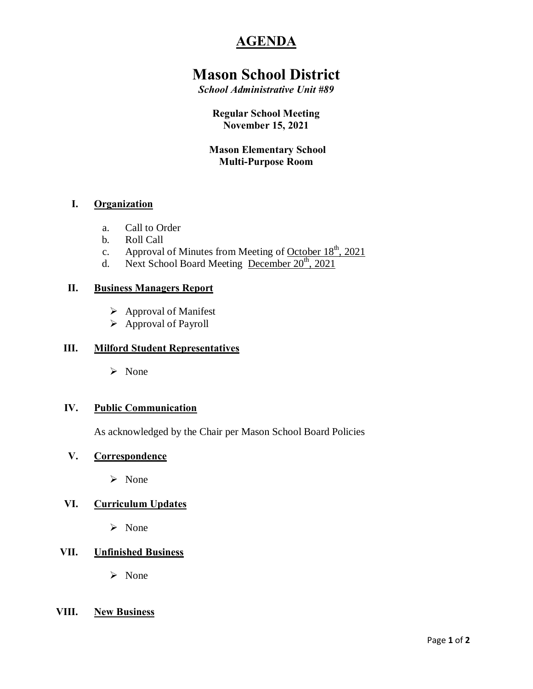# **AGENDA**

# **Mason School District**

*School Administrative Unit #89*

# **Regular School Meeting November 15, 2021**

# **Mason Elementary School Multi-Purpose Room**

# **I. Organization**

- a. Call to Order
- b. Roll Call
- c. Approval of Minutes from Meeting of October  $18<sup>th</sup>$ , 2021
- d. Next School Board Meeting December 20<sup>th</sup>, 2021

## **II. Business Managers Report**

- $\triangleright$  Approval of Manifest
- $\triangleright$  Approval of Payroll

## **III. Milford Student Representatives**

ÿ None

## **IV. Public Communication**

As acknowledged by the Chair per Mason School Board Policies

# **V. Correspondence**

 $\triangleright$  None

# **VI. Curriculum Updates**

 $\triangleright$  None

# **VII. Unfinished Business**

ÿ None

## **VIII. New Business**